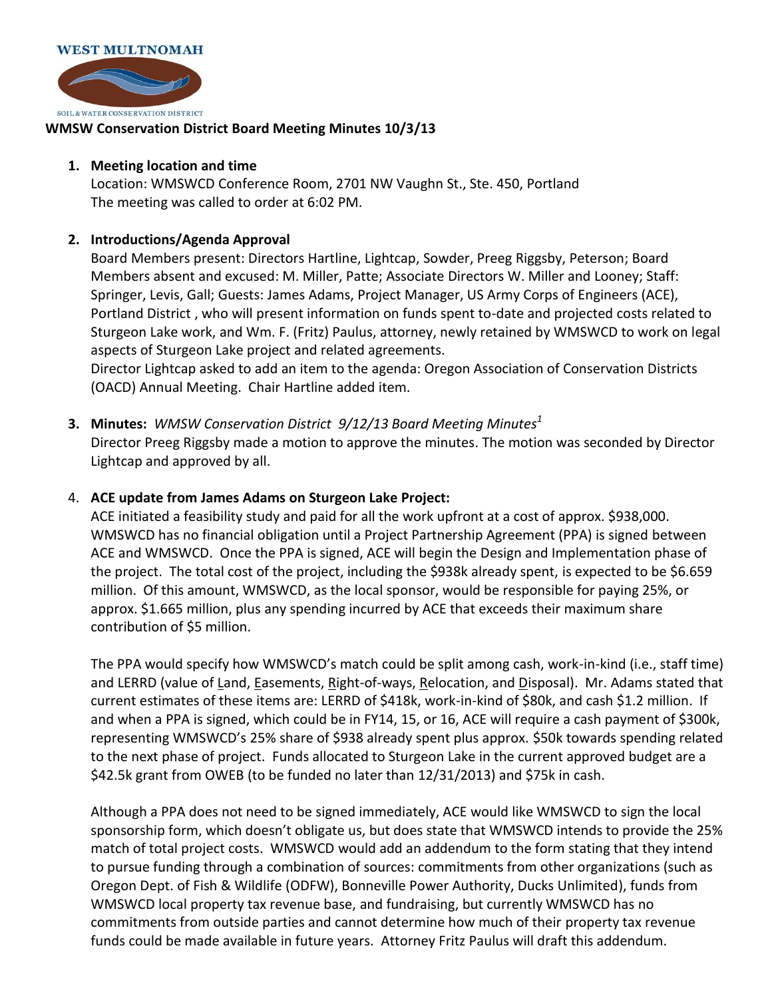

## **WMSW Conservation District Board Meeting Minutes 10/3/13**

## **1. Meeting location and time**

Location: WMSWCD Conference Room, 2701 NW Vaughn St., Ste. 450, Portland The meeting was called to order at 6:02 PM.

## **2. Introductions/Agenda Approval**

Board Members present: Directors Hartline, Lightcap, Sowder, Preeg Riggsby, Peterson; Board Members absent and excused: M. Miller, Patte; Associate Directors W. Miller and Looney; Staff: Springer, Levis, Gall; Guests: James Adams, Project Manager, US Army Corps of Engineers (ACE), Portland District , who will present information on funds spent to-date and projected costs related to Sturgeon Lake work, and Wm. F. (Fritz) Paulus, attorney, newly retained by WMSWCD to work on legal aspects of Sturgeon Lake project and related agreements.

Director Lightcap asked to add an item to the agenda: Oregon Association of Conservation Districts (OACD) Annual Meeting. Chair Hartline added item.

**3. Minutes:** *WMSW Conservation District 9/12/13 Board Meeting Minutes<sup>1</sup>* Director Preeg Riggsby made a motion to approve the minutes. The motion was seconded by Director Lightcap and approved by all.

## 4. **ACE update from James Adams on Sturgeon Lake Project:**

ACE initiated a feasibility study and paid for all the work upfront at a cost of approx. \$938,000. WMSWCD has no financial obligation until a Project Partnership Agreement (PPA) is signed between ACE and WMSWCD. Once the PPA is signed, ACE will begin the Design and Implementation phase of the project. The total cost of the project, including the \$938k already spent, is expected to be \$6.659 million. Of this amount, WMSWCD, as the local sponsor, would be responsible for paying 25%, or approx. \$1.665 million, plus any spending incurred by ACE that exceeds their maximum share contribution of \$5 million.

The PPA would specify how WMSWCD's match could be split among cash, work-in-kind (i.e., staff time) and LERRD (value of Land, Easements, Right-of-ways, Relocation, and Disposal). Mr. Adams stated that current estimates of these items are: LERRD of \$418k, work-in-kind of \$80k, and cash \$1.2 million. If and when a PPA is signed, which could be in FY14, 15, or 16, ACE will require a cash payment of \$300k, representing WMSWCD's 25% share of \$938 already spent plus approx. \$50k towards spending related to the next phase of project. Funds allocated to Sturgeon Lake in the current approved budget are a \$42.5k grant from OWEB (to be funded no later than 12/31/2013) and \$75k in cash.

Although a PPA does not need to be signed immediately, ACE would like WMSWCD to sign the local sponsorship form, which doesn't obligate us, but does state that WMSWCD intends to provide the 25% match of total project costs. WMSWCD would add an addendum to the form stating that they intend to pursue funding through a combination of sources: commitments from other organizations (such as Oregon Dept. of Fish & Wildlife (ODFW), Bonneville Power Authority, Ducks Unlimited), funds from WMSWCD local property tax revenue base, and fundraising, but currently WMSWCD has no commitments from outside parties and cannot determine how much of their property tax revenue funds could be made available in future years. Attorney Fritz Paulus will draft this addendum.